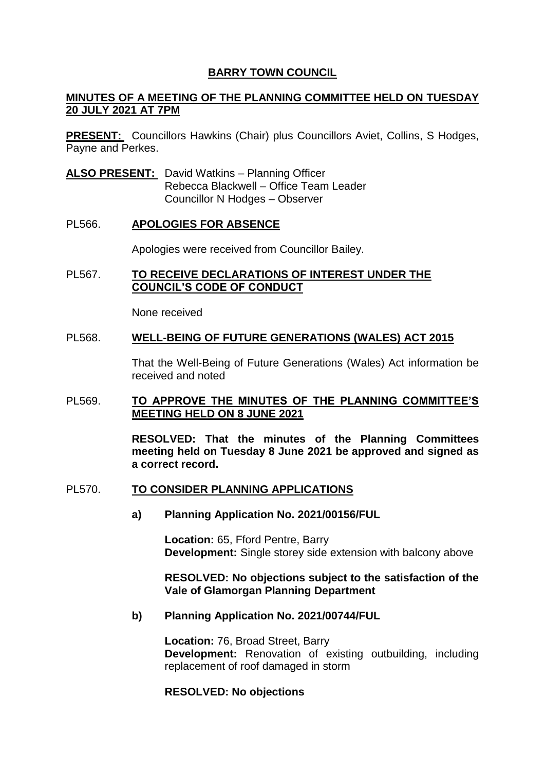# **BARRY TOWN COUNCIL**

# **MINUTES OF A MEETING OF THE PLANNING COMMITTEE HELD ON TUESDAY 20 JULY 2021 AT 7PM**

**PRESENT:** Councillors Hawkins (Chair) plus Councillors Aviet, Collins, S Hodges, Payne and Perkes.

**ALSO PRESENT:** David Watkins – Planning Officer Rebecca Blackwell – Office Team Leader Councillor N Hodges – Observer

### PL566. **APOLOGIES FOR ABSENCE**

Apologies were received from Councillor Bailey.

### PL567. **TO RECEIVE DECLARATIONS OF INTEREST UNDER THE COUNCIL'S CODE OF CONDUCT**

None received

### PL568. **WELL-BEING OF FUTURE GENERATIONS (WALES) ACT 2015**

That the Well-Being of Future Generations (Wales) Act information be received and noted

### PL569. **TO APPROVE THE MINUTES OF THE PLANNING COMMITTEE'S MEETING HELD ON 8 JUNE 2021**

**RESOLVED: That the minutes of the Planning Committees meeting held on Tuesday 8 June 2021 be approved and signed as a correct record.** 

#### PL570. **TO CONSIDER PLANNING APPLICATIONS**

**a) Planning Application No. 2021/00156/FUL**

**Location:** 65, Fford Pentre, Barry **Development:** Single storey side extension with balcony above

**RESOLVED: No objections subject to the satisfaction of the Vale of Glamorgan Planning Department**

#### **b) Planning Application No. 2021/00744/FUL**

**Location:** 76, Broad Street, Barry **Development:** Renovation of existing outbuilding, including replacement of roof damaged in storm

#### **RESOLVED: No objections**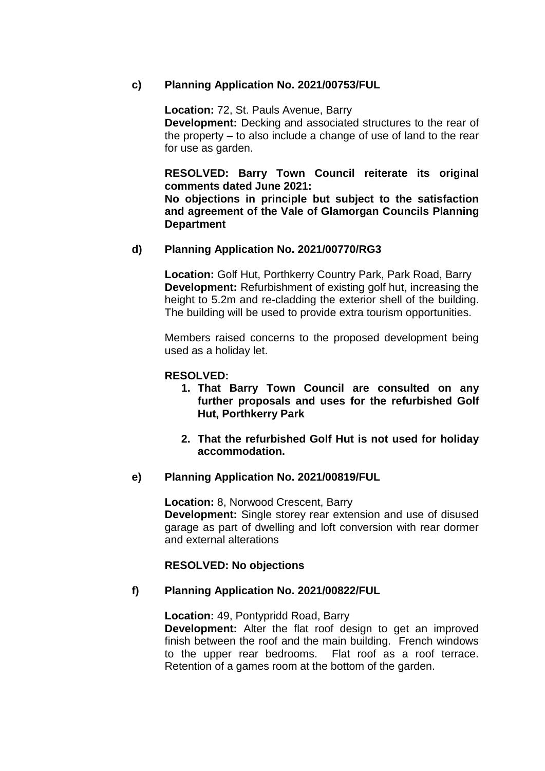# **c) Planning Application No. 2021/00753/FUL**

**Location:** 72, St. Pauls Avenue, Barry

**Development:** Decking and associated structures to the rear of the property – to also include a change of use of land to the rear for use as garden.

**RESOLVED: Barry Town Council reiterate its original comments dated June 2021:**

**No objections in principle but subject to the satisfaction and agreement of the Vale of Glamorgan Councils Planning Department** 

# **d) Planning Application No. 2021/00770/RG3**

**Location:** Golf Hut, Porthkerry Country Park, Park Road, Barry **Development:** Refurbishment of existing golf hut, increasing the height to 5.2m and re-cladding the exterior shell of the building. The building will be used to provide extra tourism opportunities.

Members raised concerns to the proposed development being used as a holiday let.

### **RESOLVED:**

- **1. That Barry Town Council are consulted on any further proposals and uses for the refurbished Golf Hut, Porthkerry Park**
- **2. That the refurbished Golf Hut is not used for holiday accommodation.**

#### **e) Planning Application No. 2021/00819/FUL**

**Location:** 8, Norwood Crescent, Barry **Development:** Single storey rear extension and use of disused garage as part of dwelling and loft conversion with rear dormer and external alterations

#### **RESOLVED: No objections**

# **f) Planning Application No. 2021/00822/FUL**

**Location:** 49, Pontypridd Road, Barry **Development:** Alter the flat roof design to get an improved finish between the roof and the main building. French windows to the upper rear bedrooms. Flat roof as a roof terrace. Retention of a games room at the bottom of the garden.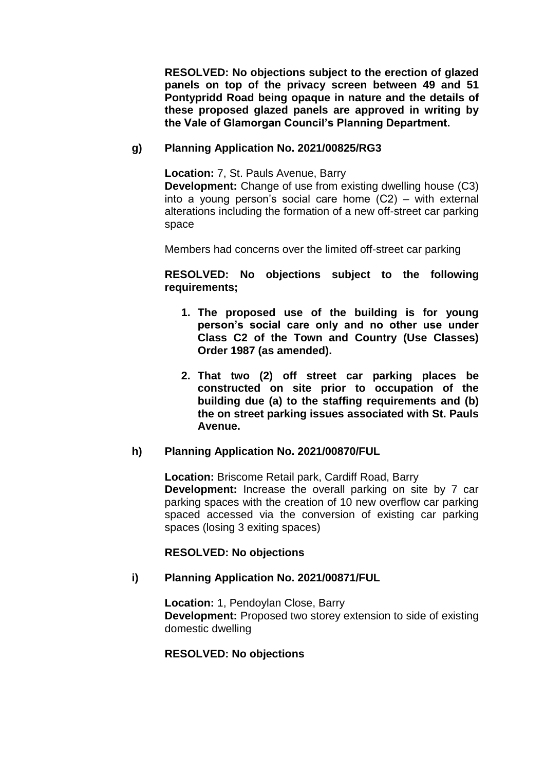**RESOLVED: No objections subject to the erection of glazed panels on top of the privacy screen between 49 and 51 Pontypridd Road being opaque in nature and the details of these proposed glazed panels are approved in writing by the Vale of Glamorgan Council's Planning Department.** 

# **g) Planning Application No. 2021/00825/RG3**

**Location:** 7, St. Pauls Avenue, Barry

**Development:** Change of use from existing dwelling house (C3) into a young person's social care home (C2) – with external alterations including the formation of a new off-street car parking space

Members had concerns over the limited off-street car parking

# **RESOLVED: No objections subject to the following requirements;**

- **1. The proposed use of the building is for young person's social care only and no other use under Class C2 of the Town and Country (Use Classes) Order 1987 (as amended).**
- **2. That two (2) off street car parking places be constructed on site prior to occupation of the building due (a) to the staffing requirements and (b) the on street parking issues associated with St. Pauls Avenue.**

# **h) Planning Application No. 2021/00870/FUL**

**Location:** Briscome Retail park, Cardiff Road, Barry **Development:** Increase the overall parking on site by 7 car parking spaces with the creation of 10 new overflow car parking spaced accessed via the conversion of existing car parking spaces (losing 3 exiting spaces)

# **RESOLVED: No objections**

# **i) Planning Application No. 2021/00871/FUL**

**Location:** 1, Pendoylan Close, Barry **Development:** Proposed two storey extension to side of existing domestic dwelling

# **RESOLVED: No objections**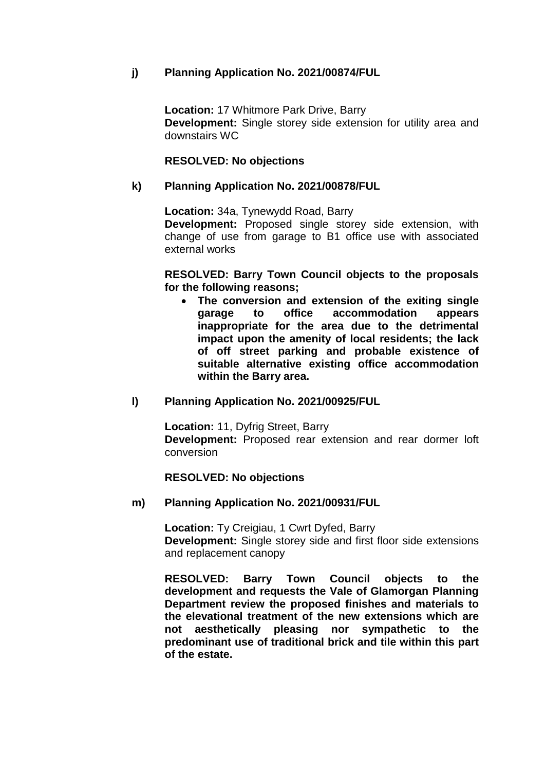# **j) Planning Application No. 2021/00874/FUL**

**Location:** 17 Whitmore Park Drive, Barry **Development:** Single storey side extension for utility area and downstairs WC

### **RESOLVED: No objections**

### **k) Planning Application No. 2021/00878/FUL**

**Location:** 34a, Tynewydd Road, Barry **Development:** Proposed single storey side extension, with change of use from garage to B1 office use with associated external works

**RESOLVED: Barry Town Council objects to the proposals for the following reasons;**

 **The conversion and extension of the exiting single garage to office accommodation appears inappropriate for the area due to the detrimental impact upon the amenity of local residents; the lack of off street parking and probable existence of suitable alternative existing office accommodation within the Barry area.** 

#### **l) Planning Application No. 2021/00925/FUL**

**Location:** 11, Dyfrig Street, Barry **Development:** Proposed rear extension and rear dormer loft conversion

#### **RESOLVED: No objections**

#### **m) Planning Application No. 2021/00931/FUL**

**Location:** Ty Creigiau, 1 Cwrt Dyfed, Barry **Development:** Single storey side and first floor side extensions and replacement canopy

**RESOLVED: Barry Town Council objects to the development and requests the Vale of Glamorgan Planning Department review the proposed finishes and materials to the elevational treatment of the new extensions which are not aesthetically pleasing nor sympathetic to the predominant use of traditional brick and tile within this part of the estate.**